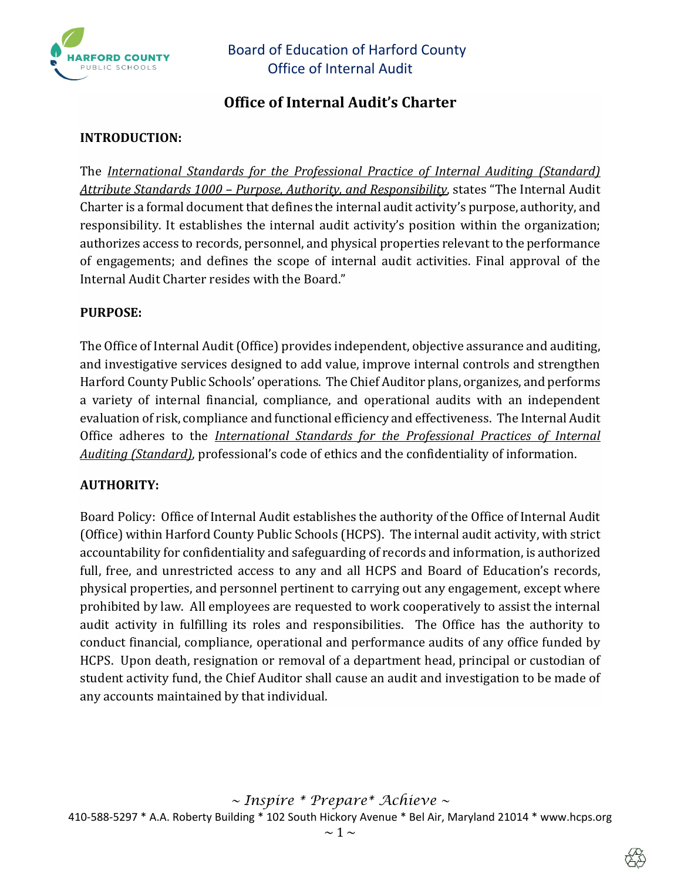

# **Office of Internal Audit's Charter**

### **INTRODUCTION:**

The *International Standards for the Professional Practice of Internal Auditing (Standard) Attribute Standards 1000 – Purpose, Authority, and Responsibility*, states "The Internal Audit Charter is a formal document that defines the internal audit activity's purpose, authority, and responsibility. It establishes the internal audit activity's position within the organization; authorizes access to records, personnel, and physical properties relevant to the performance of engagements; and defines the scope of internal audit activities. Final approval of the Internal Audit Charter resides with the Board."

#### **PURPOSE:**

The Office of Internal Audit (Office) provides independent, objective assurance and auditing, and investigative services designed to add value, improve internal controls and strengthen Harford County Public Schools' operations. The Chief Auditor plans, organizes, and performs a variety of internal financial, compliance, and operational audits with an independent evaluation of risk, compliance and functional efficiency and effectiveness. The Internal Audit Office adheres to the *International Standards for the Professional Practices of Internal Auditing (Standard)*, professional's code of ethics and the confidentiality of information.

#### **AUTHORITY:**

Board Policy: Office of Internal Audit establishes the authority of the Office of Internal Audit (Office) within Harford County Public Schools (HCPS). The internal audit activity, with strict accountability for confidentiality and safeguarding of records and information, is authorized full, free, and unrestricted access to any and all HCPS and Board of Education's records, physical properties, and personnel pertinent to carrying out any engagement, except where prohibited by law. All employees are requested to work cooperatively to assist the internal audit activity in fulfilling its roles and responsibilities. The Office has the authority to conduct financial, compliance, operational and performance audits of any office funded by HCPS. Upon death, resignation or removal of a department head, principal or custodian of student activity fund, the Chief Auditor shall cause an audit and investigation to be made of any accounts maintained by that individual.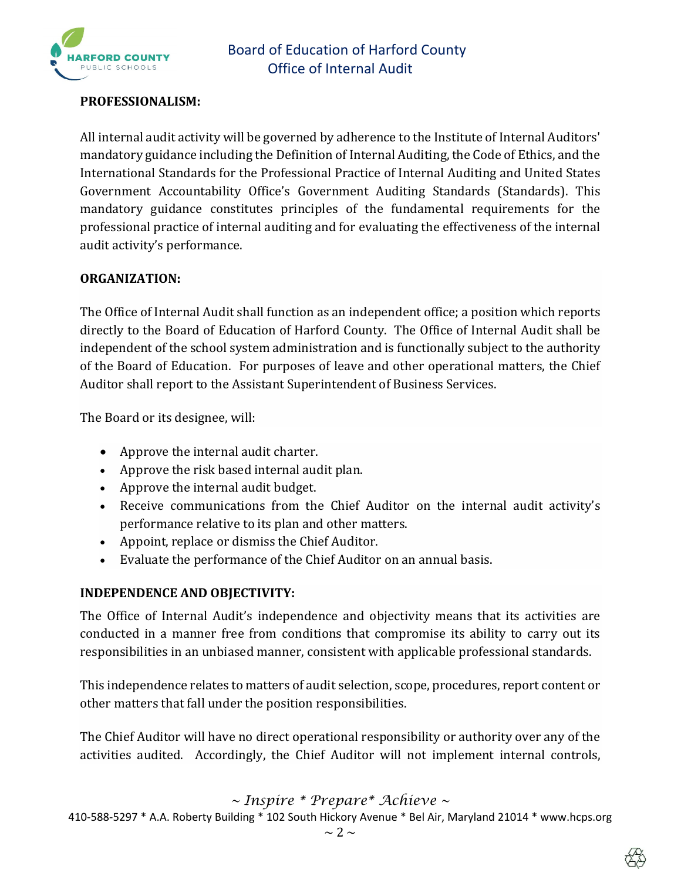

### **PROFESSIONALISM:**

All internal audit activity will be governed by adherence to the Institute of Internal Auditors' mandatory guidance including the Definition of Internal Auditing, the Code of Ethics, and the International Standards for the Professional Practice of Internal Auditing and United States Government Accountability Office's Government Auditing Standards (Standards). This mandatory guidance constitutes principles of the fundamental requirements for the professional practice of internal auditing and for evaluating the effectiveness of the internal audit activity's performance.

#### **ORGANIZATION:**

The Office of Internal Audit shall function as an independent office; a position which reports directly to the Board of Education of Harford County. The Office of Internal Audit shall be independent of the school system administration and is functionally subject to the authority of the Board of Education. For purposes of leave and other operational matters, the Chief Auditor shall report to the Assistant Superintendent of Business Services.

The Board or its designee, will:

- Approve the internal audit charter.
- Approve the risk based internal audit plan.
- Approve the internal audit budget.
- Receive communications from the Chief Auditor on the internal audit activity's performance relative to its plan and other matters.
- Appoint, replace or dismiss the Chief Auditor.
- Evaluate the performance of the Chief Auditor on an annual basis.

#### **INDEPENDENCE AND OBJECTIVITY:**

The Office of Internal Audit's independence and objectivity means that its activities are conducted in a manner free from conditions that compromise its ability to carry out its responsibilities in an unbiased manner, consistent with applicable professional standards.

This independence relates to matters of audit selection, scope, procedures, report content or other matters that fall under the position responsibilities.

The Chief Auditor will have no direct operational responsibility or authority over any of the activities audited. Accordingly, the Chief Auditor will not implement internal controls,

*~ Inspire \* Prepare\* Achieve ~* 

410-588-5297 \* A.A. Roberty Building \* 102 South Hickory Avenue \* Bel Air, Maryland 21014 \* www.hcps.org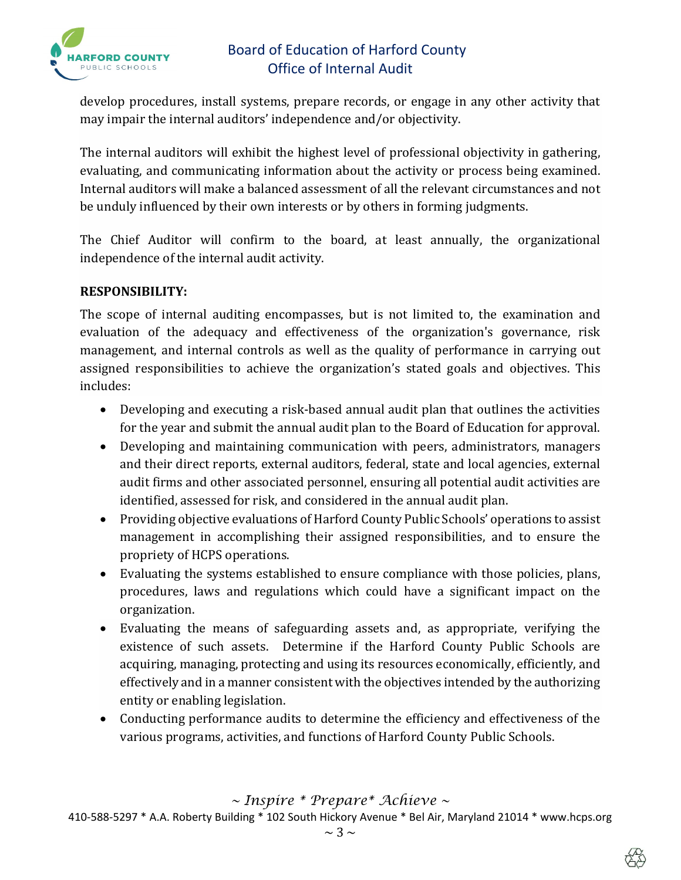

develop procedures, install systems, prepare records, or engage in any other activity that may impair the internal auditors' independence and/or objectivity.

The internal auditors will exhibit the highest level of professional objectivity in gathering, evaluating, and communicating information about the activity or process being examined. Internal auditors will make a balanced assessment of all the relevant circumstances and not be unduly influenced by their own interests or by others in forming judgments.

The Chief Auditor will confirm to the board, at least annually, the organizational independence of the internal audit activity.

### **RESPONSIBILITY:**

The scope of internal auditing encompasses, but is not limited to, the examination and evaluation of the adequacy and effectiveness of the organization's governance, risk management, and internal controls as well as the quality of performance in carrying out assigned responsibilities to achieve the organization's stated goals and objectives. This includes:

- Developing and executing a risk-based annual audit plan that outlines the activities for the year and submit the annual audit plan to the Board of Education for approval.
- Developing and maintaining communication with peers, administrators, managers and their direct reports, external auditors, federal, state and local agencies, external audit firms and other associated personnel, ensuring all potential audit activities are identified, assessed for risk, and considered in the annual audit plan.
- Providing objective evaluations of Harford County Public Schools' operations to assist management in accomplishing their assigned responsibilities, and to ensure the propriety of HCPS operations.
- Evaluating the systems established to ensure compliance with those policies, plans, procedures, laws and regulations which could have a significant impact on the organization.
- Evaluating the means of safeguarding assets and, as appropriate, verifying the existence of such assets. Determine if the Harford County Public Schools are acquiring, managing, protecting and using its resources economically, efficiently, and effectively and in a manner consistent with the objectives intended by the authorizing entity or enabling legislation.
- Conducting performance audits to determine the efficiency and effectiveness of the various programs, activities, and functions of Harford County Public Schools.

*~ Inspire \* Prepare\* Achieve ~*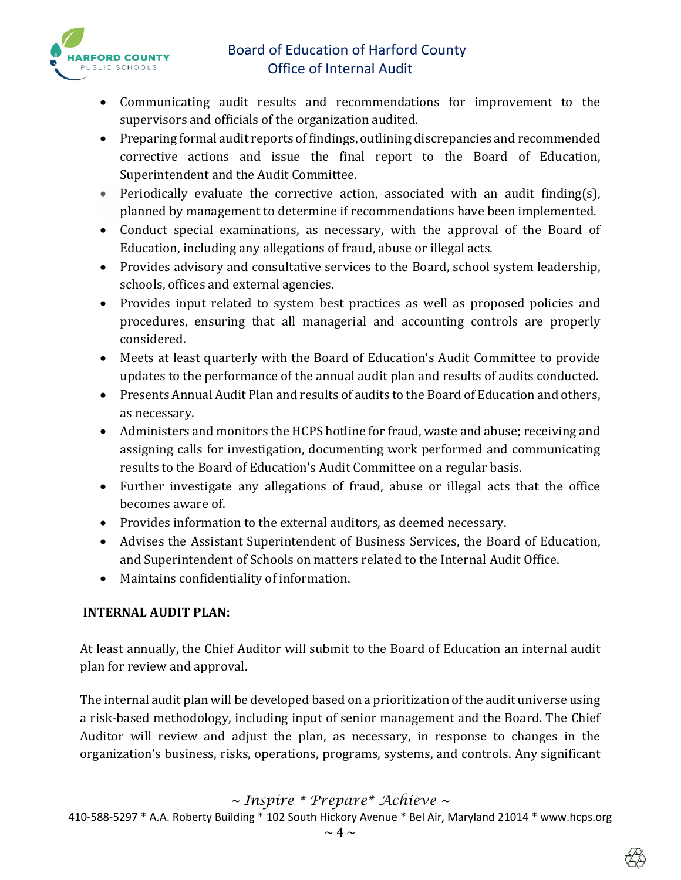

- Communicating audit results and recommendations for improvement to the supervisors and officials of the organization audited.
- Preparing formal audit reports of findings, outlining discrepancies and recommended corrective actions and issue the final report to the Board of Education, Superintendent and the Audit Committee.
- Periodically evaluate the corrective action, associated with an audit finding(s), planned by management to determine if recommendations have been implemented.
- Conduct special examinations, as necessary, with the approval of the Board of Education, including any allegations of fraud, abuse or illegal acts.
- Provides advisory and consultative services to the Board, school system leadership, schools, offices and external agencies.
- Provides input related to system best practices as well as proposed policies and procedures, ensuring that all managerial and accounting controls are properly considered.
- Meets at least quarterly with the Board of Education's Audit Committee to provide updates to the performance of the annual audit plan and results of audits conducted.
- Presents Annual Audit Plan and results of audits to the Board of Education and others, as necessary.
- Administers and monitors the HCPS hotline for fraud, waste and abuse; receiving and assigning calls for investigation, documenting work performed and communicating results to the Board of Education's Audit Committee on a regular basis.
- Further investigate any allegations of fraud, abuse or illegal acts that the office becomes aware of.
- Provides information to the external auditors, as deemed necessary.
- Advises the Assistant Superintendent of Business Services, the Board of Education, and Superintendent of Schools on matters related to the Internal Audit Office.
- Maintains confidentiality of information.

### **INTERNAL AUDIT PLAN:**

At least annually, the Chief Auditor will submit to the Board of Education an internal audit plan for review and approval.

The internal audit plan will be developed based on a prioritization of the audit universe using a risk-based methodology, including input of senior management and the Board. The Chief Auditor will review and adjust the plan, as necessary, in response to changes in the organization's business, risks, operations, programs, systems, and controls. Any significant

*~ Inspire \* Prepare\* Achieve ~* 

410-588-5297 \* A.A. Roberty Building \* 102 South Hickory Avenue \* Bel Air, Maryland 21014 \* www.hcps.org